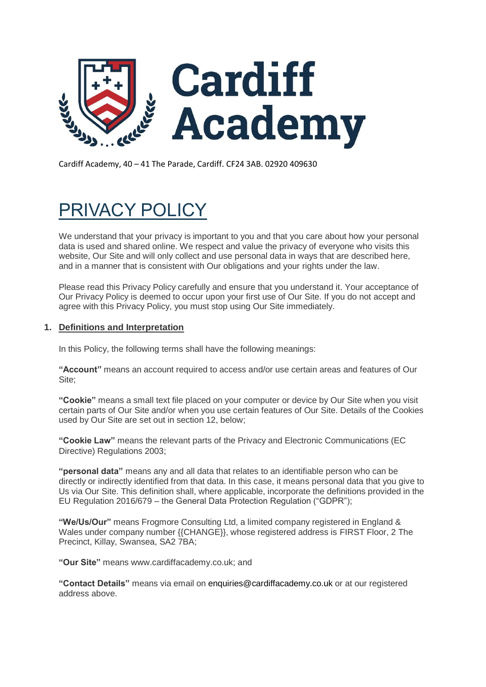

Cardiff Academy, 40 – 41 The Parade, Cardiff. CF24 3AB. 02920 409630

# PRIVACY POLICY

We understand that your privacy is important to you and that you care about how your personal data is used and shared online. We respect and value the privacy of everyone who visits this website, Our Site and will only collect and use personal data in ways that are described here, and in a manner that is consistent with Our obligations and your rights under the law.

Please read this Privacy Policy carefully and ensure that you understand it. Your acceptance of Our Privacy Policy is deemed to occur upon your first use of Our Site. If you do not accept and agree with this Privacy Policy, you must stop using Our Site immediately.

# **1. Definitions and Interpretation**

In this Policy, the following terms shall have the following meanings:

**"Account"** means an account required to access and/or use certain areas and features of Our Site;

**"Cookie"** means a small text file placed on your computer or device by Our Site when you visit certain parts of Our Site and/or when you use certain features of Our Site. Details of the Cookies used by Our Site are set out in section 12, below;

**"Cookie Law"** means the relevant parts of the Privacy and Electronic Communications (EC Directive) Regulations 2003;

**"personal data"** means any and all data that relates to an identifiable person who can be directly or indirectly identified from that data. In this case, it means personal data that you give to Us via Our Site. This definition shall, where applicable, incorporate the definitions provided in the EU Regulation 2016/679 – the General Data Protection Regulation ("GDPR");

**"We/Us/Our"** means Frogmore Consulting Ltd, a limited company registered in England & Wales under company number {{CHANGE}}, whose registered address is FIRST Floor, 2 The Precinct, Killay, Swansea, SA2 7BA;

**"Our Site"** means www.cardiffacademy.co.uk; and

**"Contact Details"** means via email on enquiries@cardiffacademy.co.uk or at our registered address above.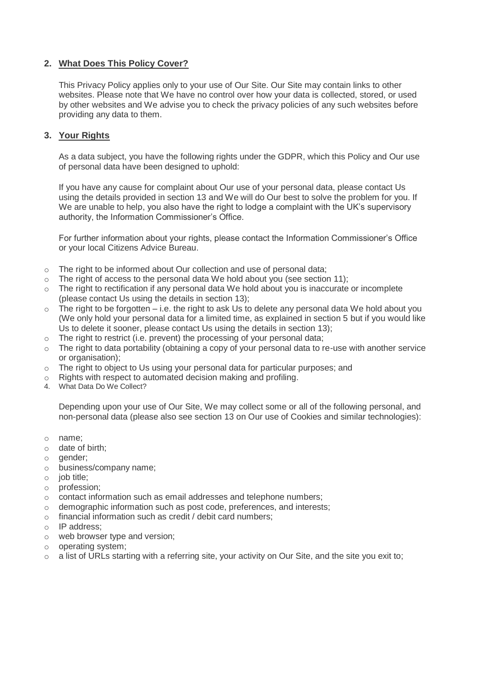# **2. What Does This Policy Cover?**

This Privacy Policy applies only to your use of Our Site. Our Site may contain links to other websites. Please note that We have no control over how your data is collected, stored, or used by other websites and We advise you to check the privacy policies of any such websites before providing any data to them.

## **3. Your Rights**

As a data subject, you have the following rights under the GDPR, which this Policy and Our use of personal data have been designed to uphold:

If you have any cause for complaint about Our use of your personal data, please contact Us using the details provided in section 13 and We will do Our best to solve the problem for you. If We are unable to help, you also have the right to lodge a complaint with the UK's supervisory authority, the Information Commissioner's Office.

For further information about your rights, please contact the Information Commissioner's Office or your local Citizens Advice Bureau.

- o The right to be informed about Our collection and use of personal data;
- $\circ$  The right of access to the personal data We hold about you (see section 11);
- $\circ$  The right to rectification if any personal data We hold about you is inaccurate or incomplete (please contact Us using the details in section 13);
- The right to be forgotten  $-$  i.e. the right to ask Us to delete any personal data We hold about you (We only hold your personal data for a limited time, as explained in section 5 but if you would like Us to delete it sooner, please contact Us using the details in section 13);
- $\circ$  The right to restrict (i.e. prevent) the processing of your personal data;
- $\circ$  The right to data portability (obtaining a copy of your personal data to re-use with another service or organisation);
- $\circ$  The right to object to Us using your personal data for particular purposes; and
- o Rights with respect to automated decision making and profiling.
- 4. What Data Do We Collect?

Depending upon your use of Our Site, We may collect some or all of the following personal, and non-personal data (please also see section 13 on Our use of Cookies and similar technologies):

- o name;
- o date of birth;
- o gender;
- o business/company name;
- o job title;
- o profession;
- $\circ$  contact information such as email addresses and telephone numbers;
- o demographic information such as post code, preferences, and interests;
- o financial information such as credit / debit card numbers;
- o IP address;
- o web browser type and version;
- o operating system;
- $\circ$  a list of URLs starting with a referring site, your activity on Our Site, and the site you exit to;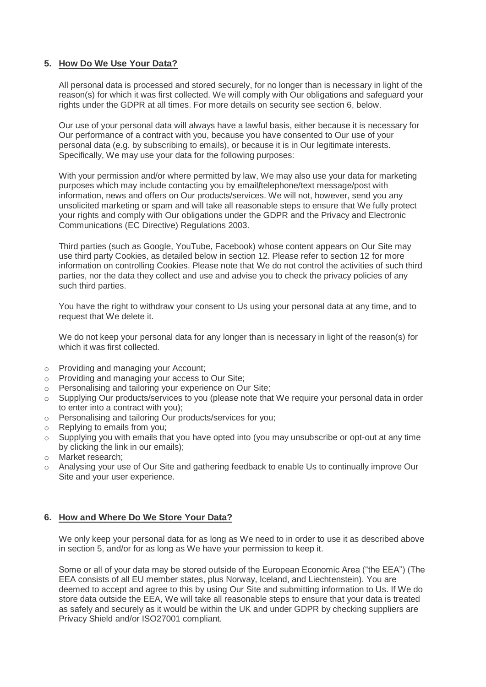## **5. How Do We Use Your Data?**

All personal data is processed and stored securely, for no longer than is necessary in light of the reason(s) for which it was first collected. We will comply with Our obligations and safeguard your rights under the GDPR at all times. For more details on security see section 6, below.

Our use of your personal data will always have a lawful basis, either because it is necessary for Our performance of a contract with you, because you have consented to Our use of your personal data (e.g. by subscribing to emails), or because it is in Our legitimate interests. Specifically, We may use your data for the following purposes:

With your permission and/or where permitted by law, We may also use your data for marketing purposes which may include contacting you by email**/**telephone/text message/post with information, news and offers on Our products/services. We will not, however, send you any unsolicited marketing or spam and will take all reasonable steps to ensure that We fully protect your rights and comply with Our obligations under the GDPR and the Privacy and Electronic Communications (EC Directive) Regulations 2003.

Third parties (such as Google, YouTube, Facebook) whose content appears on Our Site may use third party Cookies, as detailed below in section 12. Please refer to section 12 for more information on controlling Cookies. Please note that We do not control the activities of such third parties, nor the data they collect and use and advise you to check the privacy policies of any such third parties.

You have the right to withdraw your consent to Us using your personal data at any time, and to request that We delete it.

We do not keep your personal data for any longer than is necessary in light of the reason(s) for which it was first collected.

- o Providing and managing your Account;
- o Providing and managing your access to Our Site;
- o Personalising and tailoring your experience on Our Site;
- o Supplying Our products/services to you (please note that We require your personal data in order to enter into a contract with you);
- o Personalising and tailoring Our products/services for you;
- o Replying to emails from you;
- $\circ$  Supplying you with emails that you have opted into (you may unsubscribe or opt-out at any time by clicking the link in our emails);
- o Market research;
- o Analysing your use of Our Site and gathering feedback to enable Us to continually improve Our Site and your user experience.

## **6. How and Where Do We Store Your Data?**

We only keep your personal data for as long as We need to in order to use it as described above in section 5, and/or for as long as We have your permission to keep it.

Some or all of your data may be stored outside of the European Economic Area ("the EEA") (The EEA consists of all EU member states, plus Norway, Iceland, and Liechtenstein). You are deemed to accept and agree to this by using Our Site and submitting information to Us. If We do store data outside the EEA, We will take all reasonable steps to ensure that your data is treated as safely and securely as it would be within the UK and under GDPR by checking suppliers are Privacy Shield and/or ISO27001 compliant.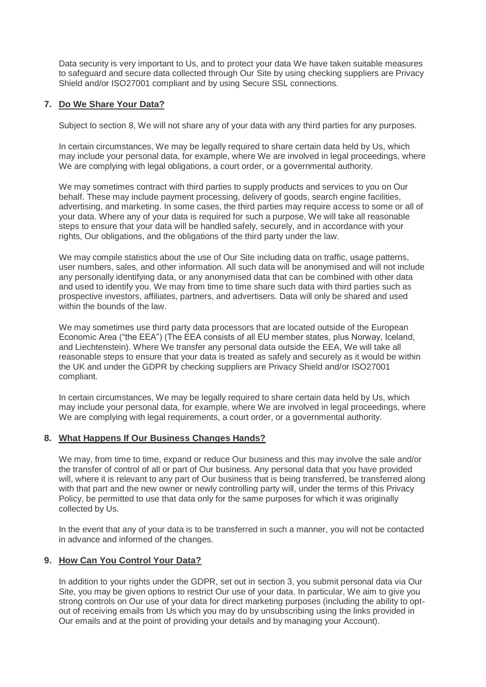Data security is very important to Us, and to protect your data We have taken suitable measures to safeguard and secure data collected through Our Site by using checking suppliers are Privacy Shield and/or ISO27001 compliant and by using Secure SSL connections.

# **7. Do We Share Your Data?**

Subject to section 8, We will not share any of your data with any third parties for any purposes.

In certain circumstances, We may be legally required to share certain data held by Us, which may include your personal data, for example, where We are involved in legal proceedings, where We are complying with legal obligations, a court order, or a governmental authority.

We may sometimes contract with third parties to supply products and services to you on Our behalf. These may include payment processing, delivery of goods, search engine facilities, advertising, and marketing. In some cases, the third parties may require access to some or all of your data. Where any of your data is required for such a purpose, We will take all reasonable steps to ensure that your data will be handled safely, securely, and in accordance with your rights, Our obligations, and the obligations of the third party under the law.

We may compile statistics about the use of Our Site including data on traffic, usage patterns, user numbers, sales, and other information. All such data will be anonymised and will not include any personally identifying data, or any anonymised data that can be combined with other data and used to identify you. We may from time to time share such data with third parties such as prospective investors, affiliates, partners, and advertisers. Data will only be shared and used within the bounds of the law.

We may sometimes use third party data processors that are located outside of the European Economic Area ("the EEA") (The EEA consists of all EU member states, plus Norway, Iceland, and Liechtenstein). Where We transfer any personal data outside the EEA, We will take all reasonable steps to ensure that your data is treated as safely and securely as it would be within the UK and under the GDPR by checking suppliers are Privacy Shield and/or ISO27001 compliant.

In certain circumstances, We may be legally required to share certain data held by Us, which may include your personal data, for example, where We are involved in legal proceedings, where We are complying with legal requirements, a court order, or a governmental authority.

## **8. What Happens If Our Business Changes Hands?**

We may, from time to time, expand or reduce Our business and this may involve the sale and/or the transfer of control of all or part of Our business. Any personal data that you have provided will, where it is relevant to any part of Our business that is being transferred, be transferred along with that part and the new owner or newly controlling party will, under the terms of this Privacy Policy, be permitted to use that data only for the same purposes for which it was originally collected by Us.

In the event that any of your data is to be transferred in such a manner, you will not be contacted in advance and informed of the changes.

## **9. How Can You Control Your Data?**

In addition to your rights under the GDPR, set out in section 3, you submit personal data via Our Site, you may be given options to restrict Our use of your data. In particular, We aim to give you strong controls on Our use of your data for direct marketing purposes (including the ability to optout of receiving emails from Us which you may do by unsubscribing using the links provided in Our emails and at the point of providing your details and by managing your Account).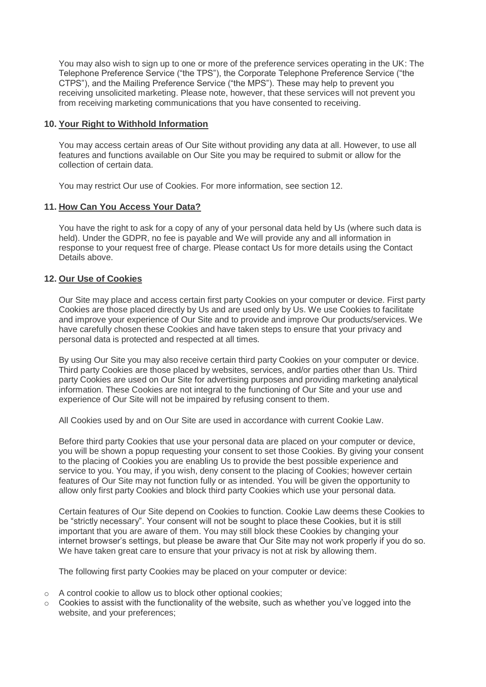You may also wish to sign up to one or more of the preference services operating in the UK: The Telephone Preference Service ("the TPS"), the Corporate Telephone Preference Service ("the CTPS"), and the Mailing Preference Service ("the MPS"). These may help to prevent you receiving unsolicited marketing. Please note, however, that these services will not prevent you from receiving marketing communications that you have consented to receiving.

#### **10. Your Right to Withhold Information**

You may access certain areas of Our Site without providing any data at all. However, to use all features and functions available on Our Site you may be required to submit or allow for the collection of certain data.

You may restrict Our use of Cookies. For more information, see section 12.

#### **11. How Can You Access Your Data?**

You have the right to ask for a copy of any of your personal data held by Us (where such data is held). Under the GDPR, no fee is payable and We will provide any and all information in response to your request free of charge. Please contact Us for more details using the Contact Details above.

#### **12. Our Use of Cookies**

Our Site may place and access certain first party Cookies on your computer or device. First party Cookies are those placed directly by Us and are used only by Us. We use Cookies to facilitate and improve your experience of Our Site and to provide and improve Our products/services. We have carefully chosen these Cookies and have taken steps to ensure that your privacy and personal data is protected and respected at all times.

By using Our Site you may also receive certain third party Cookies on your computer or device. Third party Cookies are those placed by websites, services, and/or parties other than Us. Third party Cookies are used on Our Site for advertising purposes and providing marketing analytical information. These Cookies are not integral to the functioning of Our Site and your use and experience of Our Site will not be impaired by refusing consent to them.

All Cookies used by and on Our Site are used in accordance with current Cookie Law.

Before third party Cookies that use your personal data are placed on your computer or device, you will be shown a popup requesting your consent to set those Cookies. By giving your consent to the placing of Cookies you are enabling Us to provide the best possible experience and service to you. You may, if you wish, deny consent to the placing of Cookies; however certain features of Our Site may not function fully or as intended. You will be given the opportunity to allow only first party Cookies and block third party Cookies which use your personal data.

Certain features of Our Site depend on Cookies to function. Cookie Law deems these Cookies to be "strictly necessary". Your consent will not be sought to place these Cookies, but it is still important that you are aware of them. You may still block these Cookies by changing your internet browser's settings, but please be aware that Our Site may not work properly if you do so. We have taken great care to ensure that your privacy is not at risk by allowing them.

The following first party Cookies may be placed on your computer or device:

- o A control cookie to allow us to block other optional cookies;
- $\circ$  Cookies to assist with the functionality of the website, such as whether you've logged into the website, and your preferences;